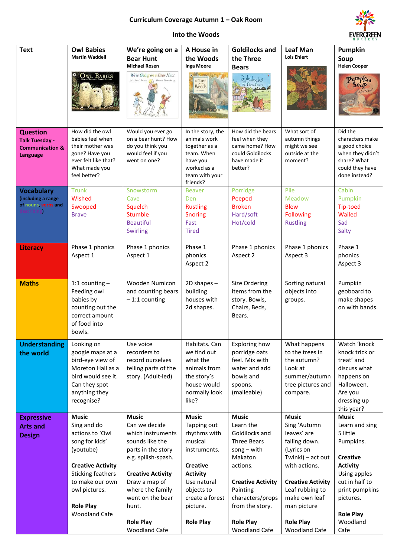## **Curriculum Coverage Autumn 1 – Oak Room**



## **Into the Woods**

| <b>Text</b>                                                                        | <b>Owl Babies</b><br><b>Martin Waddell</b>                                                                                                                                                                            | We're going on a<br><b>Bear Hunt</b>                                                                                                                                                                                                                  | A House in<br>the Woods                                                                                                                                                                      | <b>Goldilocks and</b><br>the Three                                                                                                                                                                                            | <b>Leaf Man</b><br><b>Lois Ehlert</b>                                                                                                                                                                                                       | Pumpkin<br>Soup                                                                                                                                                                                        |
|------------------------------------------------------------------------------------|-----------------------------------------------------------------------------------------------------------------------------------------------------------------------------------------------------------------------|-------------------------------------------------------------------------------------------------------------------------------------------------------------------------------------------------------------------------------------------------------|----------------------------------------------------------------------------------------------------------------------------------------------------------------------------------------------|-------------------------------------------------------------------------------------------------------------------------------------------------------------------------------------------------------------------------------|---------------------------------------------------------------------------------------------------------------------------------------------------------------------------------------------------------------------------------------------|--------------------------------------------------------------------------------------------------------------------------------------------------------------------------------------------------------|
|                                                                                    | <b>OWL BABIES</b>                                                                                                                                                                                                     | <b>Michael Rosen</b><br>We're Going on a Bear Hunt<br>Michael Rosen (Caroline Oxenbury                                                                                                                                                                | Inga Moore<br><b>Difference</b><br>A House<br>Woods                                                                                                                                          | <b>Bears</b><br>Goldilock <sup>5</sup><br>A the Three Bears                                                                                                                                                                   |                                                                                                                                                                                                                                             | <b>Helen Cooper</b><br>Pumpkin<br>50 <sub>u</sub> p<br>Jelen Coop                                                                                                                                      |
| <b>Question</b><br><b>Talk Tuesday -</b><br><b>Communication &amp;</b><br>Language | How did the owl<br>babies feel when<br>their mother was<br>gone? Have you<br>ever felt like that?<br>What made you<br>feel better?                                                                                    | Would you ever go<br>on a bear hunt? How<br>do you think you<br>would feel if you<br>went on one?                                                                                                                                                     | In the story, the<br>animals work<br>together as a<br>team. When<br>have you<br>worked as a<br>team with your<br>friends?                                                                    | How did the bears<br>feel when they<br>came home? How<br>could Goldilocks<br>have made it<br>better?                                                                                                                          | What sort of<br>autumn things<br>might we see<br>outside at the<br>moment?                                                                                                                                                                  | Did the<br>characters make<br>a good choice<br>when they didn't<br>share? What<br>could they have<br>done instead?                                                                                     |
| <b>Vocabulary</b><br>(including a range<br>of nouns, verbs and<br>scribin          | <b>Trunk</b><br>Wished<br>Swooped<br><b>Brave</b>                                                                                                                                                                     | Snowstorm<br>Cave<br>Squelch<br>Stumble<br><b>Beautiful</b><br><b>Swirling</b>                                                                                                                                                                        | <b>Beaver</b><br><b>Den</b><br><b>Rustling</b><br><b>Snoring</b><br>Fast<br><b>Tired</b>                                                                                                     | Porridge<br>Peeped<br><b>Broken</b><br>Hard/soft<br>Hot/cold                                                                                                                                                                  | Pile<br><b>Meadow</b><br><b>Blew</b><br><b>Following</b><br><b>Rustling</b>                                                                                                                                                                 | Cabin<br>Pumpkin<br><b>Tip-toed</b><br>Wailed<br>Sad<br>Salty                                                                                                                                          |
| Literacy                                                                           | Phase 1 phonics<br>Aspect 1                                                                                                                                                                                           | Phase 1 phonics<br>Aspect 1                                                                                                                                                                                                                           | Phase 1<br>phonics<br>Aspect 2                                                                                                                                                               | Phase 1 phonics<br>Aspect 2                                                                                                                                                                                                   | Phase 1 phonics<br>Aspect 3                                                                                                                                                                                                                 | Phase 1<br>phonics<br>Aspect 3                                                                                                                                                                         |
| <b>Maths</b>                                                                       | 1:1 counting $-$<br>Feeding owl<br>babies by<br>counting out the<br>correct amount<br>of food into<br>bowls.                                                                                                          | Wooden Numicon<br>and counting bears<br>$-1:1$ counting                                                                                                                                                                                               | 2D shapes -<br>building<br>houses with<br>2d shapes.                                                                                                                                         | Size Ordering<br>items from the<br>story. Bowls,<br>Chairs, Beds,<br>Bears.                                                                                                                                                   | Sorting natural<br>objects into<br>groups.                                                                                                                                                                                                  | Pumpkin<br>geoboard to<br>make shapes<br>on with bands.                                                                                                                                                |
| <b>Understanding</b><br>the world                                                  | Looking on<br>google maps at a<br>bird-eye view of<br>Moreton Hall as a<br>bird would see it.<br>Can they spot<br>anything they<br>recognise?                                                                         | Use voice<br>recorders to<br>record ourselves<br>telling parts of the<br>story. (Adult-led)                                                                                                                                                           | Habitats. Can<br>we find out<br>what the<br>animals from<br>the story's<br>house would<br>normally look<br>like?                                                                             | <b>Exploring how</b><br>porridge oats<br>feel. Mix with<br>water and add<br>bowls and<br>spoons.<br>(malleable)                                                                                                               | What happens<br>to the trees in<br>the autumn?<br>Look at<br>summer/autumn<br>tree pictures and<br>compare.                                                                                                                                 | Watch 'knock<br>knock trick or<br>treat' and<br>discuss what<br>happens on<br>Halloween.<br>Are you<br>dressing up<br>this year?                                                                       |
| <b>Expressive</b><br><b>Arts and</b><br><b>Design</b>                              | <b>Music</b><br>Sing and do<br>actions to 'Owl<br>song for kids'<br>(youtube)<br><b>Creative Activity</b><br><b>Sticking feathers</b><br>to make our own<br>owl pictures.<br><b>Role Play</b><br><b>Woodland Cafe</b> | <b>Music</b><br>Can we decide<br>which instruments<br>sounds like the<br>parts in the story<br>e.g. spliish-spash.<br><b>Creative Activity</b><br>Draw a map of<br>where the family<br>went on the bear<br>hunt.<br><b>Role Play</b><br>Woodland Cafe | <b>Music</b><br>Tapping out<br>rhythms with<br>musical<br>instruments.<br><b>Creative</b><br><b>Activity</b><br>Use natural<br>objects to<br>create a forest<br>picture.<br><b>Role Play</b> | <b>Music</b><br>Learn the<br>Goldilocks and<br><b>Three Bears</b><br>$song - with$<br>Makaton<br>actions.<br><b>Creative Activity</b><br>Painting<br>characters/props<br>from the story.<br><b>Role Play</b><br>Woodland Cafe | <b>Music</b><br>Sing 'Autumn<br>leaves' are<br>falling down.<br>(Lyrics on<br>Twinkl) - act out<br>with actions.<br><b>Creative Activity</b><br>Leaf rubbing to<br>make own leaf<br>man picture<br><b>Role Play</b><br><b>Woodland Cafe</b> | <b>Music</b><br>Learn and sing<br>5 little<br>Pumpkins.<br><b>Creative</b><br><b>Activity</b><br>Using apples<br>cut in half to<br>print pumpkins<br>pictures.<br><b>Role Play</b><br>Woodland<br>Cafe |